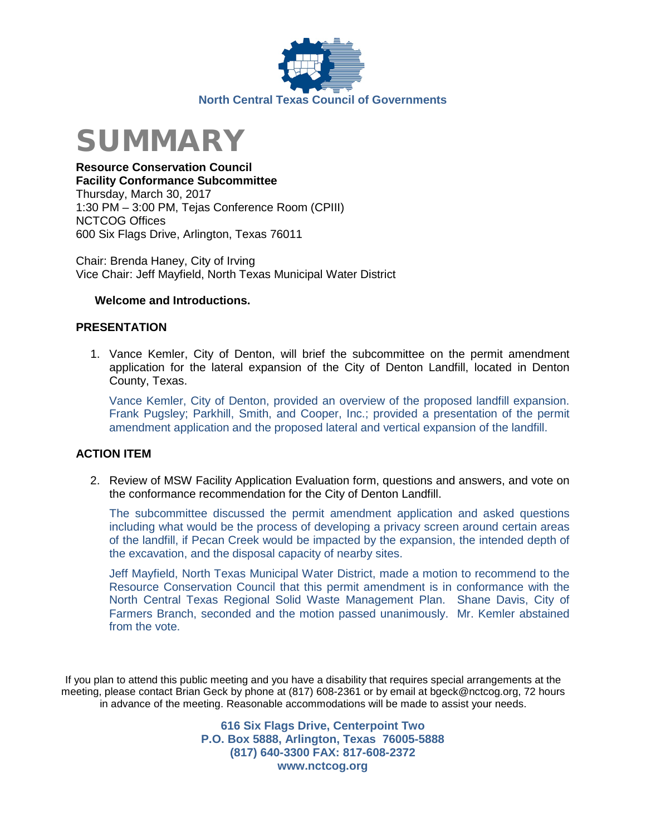



**Resource Conservation Council Facility Conformance Subcommittee** Thursday, March 30, 2017 1:30 PM – 3:00 PM, Tejas Conference Room (CPIII) NCTCOG Offices 600 Six Flags Drive, Arlington, Texas 76011

Chair: Brenda Haney, City of Irving Vice Chair: Jeff Mayfield, North Texas Municipal Water District

### **Welcome and Introductions.**

## **PRESENTATION**

1. Vance Kemler, City of Denton, will brief the subcommittee on the permit amendment application for the lateral expansion of the City of Denton Landfill, located in Denton County, Texas.

Vance Kemler, City of Denton, provided an overview of the proposed landfill expansion. Frank Pugsley; Parkhill, Smith, and Cooper, Inc.; provided a presentation of the permit amendment application and the proposed lateral and vertical expansion of the landfill.

#### **ACTION ITEM**

2. Review of MSW Facility Application Evaluation form, questions and answers, and vote on the conformance recommendation for the City of Denton Landfill.

The subcommittee discussed the permit amendment application and asked questions including what would be the process of developing a privacy screen around certain areas of the landfill, if Pecan Creek would be impacted by the expansion, the intended depth of the excavation, and the disposal capacity of nearby sites.

Jeff Mayfield, North Texas Municipal Water District, made a motion to recommend to the Resource Conservation Council that this permit amendment is in conformance with the North Central Texas Regional Solid Waste Management Plan. Shane Davis, City of Farmers Branch, seconded and the motion passed unanimously. Mr. Kemler abstained from the vote.

If you plan to attend this public meeting and you have a disability that requires special arrangements at the meeting, please contact Brian Geck by phone at (817) 608-2361 or by email at bgeck@nctcog.org, 72 hours in advance of the meeting. Reasonable accommodations will be made to assist your needs.

> **616 Six Flags Drive, Centerpoint Two P.O. Box 5888, Arlington, Texas 76005-5888 (817) 640-3300 FAX: 817-608-2372 www.nctcog.org**